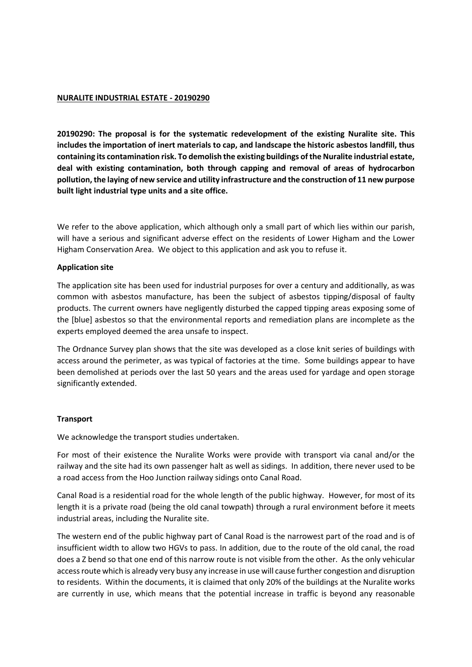### **NURALITE INDUSTRIAL ESTATE - 20190290**

**20190290: The proposal is for the systematic redevelopment of the existing Nuralite site. This includes the importation of inert materials to cap, and landscape the historic asbestos landfill, thus containing its contamination risk. To demolish the existing buildings of the Nuralite industrial estate, deal with existing contamination, both through capping and removal of areas of hydrocarbon pollution, the laying of new service and utility infrastructure and the construction of 11 new purpose built light industrial type units and a site office.**

We refer to the above application, which although only a small part of which lies within our parish, will have a serious and significant adverse effect on the residents of Lower Higham and the Lower Higham Conservation Area. We object to this application and ask you to refuse it.

### **Application site**

The application site has been used for industrial purposes for over a century and additionally, as was common with asbestos manufacture, has been the subject of asbestos tipping/disposal of faulty products. The current owners have negligently disturbed the capped tipping areas exposing some of the [blue] asbestos so that the environmental reports and remediation plans are incomplete as the experts employed deemed the area unsafe to inspect.

The Ordnance Survey plan shows that the site was developed as a close knit series of buildings with access around the perimeter, as was typical of factories at the time. Some buildings appear to have been demolished at periods over the last 50 years and the areas used for yardage and open storage significantly extended.

## **Transport**

We acknowledge the transport studies undertaken.

For most of their existence the Nuralite Works were provide with transport via canal and/or the railway and the site had its own passenger halt as well as sidings. In addition, there never used to be a road access from the Hoo Junction railway sidings onto Canal Road.

Canal Road is a residential road for the whole length of the public highway. However, for most of its length it is a private road (being the old canal towpath) through a rural environment before it meets industrial areas, including the Nuralite site.

The western end of the public highway part of Canal Road is the narrowest part of the road and is of insufficient width to allow two HGVs to pass. In addition, due to the route of the old canal, the road does a Z bend so that one end of this narrow route is not visible from the other. As the only vehicular access route which is already very busy any increase in use will cause further congestion and disruption to residents. Within the documents, it is claimed that only 20% of the buildings at the Nuralite works are currently in use, which means that the potential increase in traffic is beyond any reasonable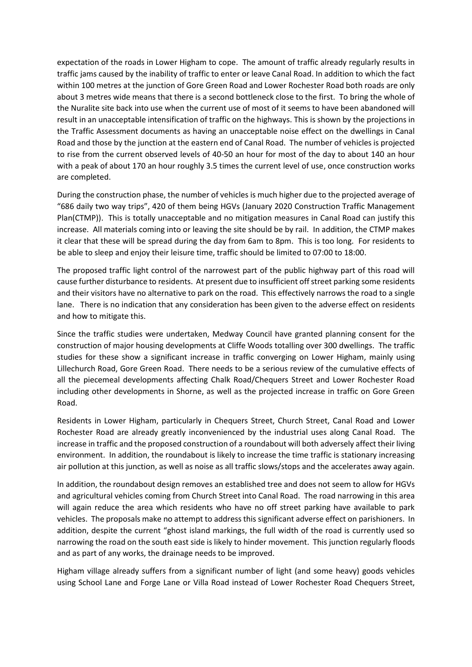expectation of the roads in Lower Higham to cope. The amount of traffic already regularly results in traffic jams caused by the inability of traffic to enter or leave Canal Road. In addition to which the fact within 100 metres at the junction of Gore Green Road and Lower Rochester Road both roads are only about 3 metres wide means that there is a second bottleneck close to the first. To bring the whole of the Nuralite site back into use when the current use of most of it seems to have been abandoned will result in an unacceptable intensification of traffic on the highways. This is shown by the projections in the Traffic Assessment documents as having an unacceptable noise effect on the dwellings in Canal Road and those by the junction at the eastern end of Canal Road. The number of vehicles is projected to rise from the current observed levels of 40-50 an hour for most of the day to about 140 an hour with a peak of about 170 an hour roughly 3.5 times the current level of use, once construction works are completed.

During the construction phase, the number of vehicles is much higher due to the projected average of "686 daily two way trips", 420 of them being HGVs (January 2020 Construction Traffic Management Plan(CTMP)). This is totally unacceptable and no mitigation measures in Canal Road can justify this increase. All materials coming into or leaving the site should be by rail. In addition, the CTMP makes it clear that these will be spread during the day from 6am to 8pm. This is too long. For residents to be able to sleep and enjoy their leisure time, traffic should be limited to 07:00 to 18:00.

The proposed traffic light control of the narrowest part of the public highway part of this road will cause further disturbance to residents. At present due to insufficient off street parking some residents and their visitors have no alternative to park on the road. This effectively narrows the road to a single lane. There is no indication that any consideration has been given to the adverse effect on residents and how to mitigate this.

Since the traffic studies were undertaken, Medway Council have granted planning consent for the construction of major housing developments at Cliffe Woods totalling over 300 dwellings. The traffic studies for these show a significant increase in traffic converging on Lower Higham, mainly using Lillechurch Road, Gore Green Road. There needs to be a serious review of the cumulative effects of all the piecemeal developments affecting Chalk Road/Chequers Street and Lower Rochester Road including other developments in Shorne, as well as the projected increase in traffic on Gore Green Road.

Residents in Lower Higham, particularly in Chequers Street, Church Street, Canal Road and Lower Rochester Road are already greatly inconvenienced by the industrial uses along Canal Road. The increase in traffic and the proposed construction of a roundabout will both adversely affect their living environment. In addition, the roundabout is likely to increase the time traffic is stationary increasing air pollution at this junction, as well as noise as all traffic slows/stops and the accelerates away again.

In addition, the roundabout design removes an established tree and does not seem to allow for HGVs and agricultural vehicles coming from Church Street into Canal Road. The road narrowing in this area will again reduce the area which residents who have no off street parking have available to park vehicles. The proposals make no attempt to address this significant adverse effect on parishioners. In addition, despite the current "ghost island markings, the full width of the road is currently used so narrowing the road on the south east side is likely to hinder movement. This junction regularly floods and as part of any works, the drainage needs to be improved.

Higham village already suffers from a significant number of light (and some heavy) goods vehicles using School Lane and Forge Lane or Villa Road instead of Lower Rochester Road Chequers Street,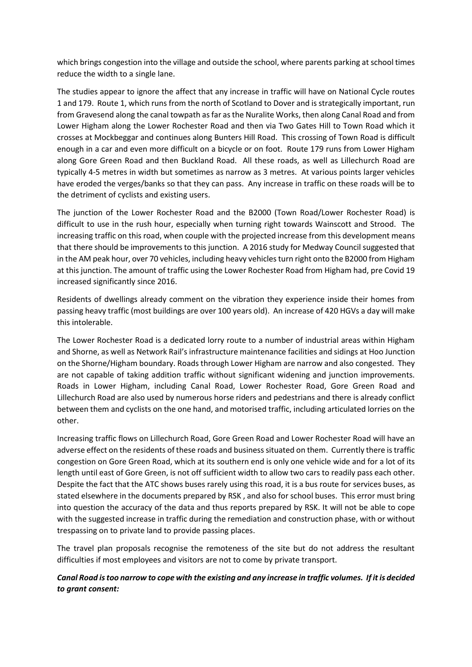which brings congestion into the village and outside the school, where parents parking at school times reduce the width to a single lane.

The studies appear to ignore the affect that any increase in traffic will have on National Cycle routes 1 and 179. Route 1, which runs from the north of Scotland to Dover and is strategically important, run from Gravesend along the canal towpath as far as the Nuralite Works, then along Canal Road and from Lower Higham along the Lower Rochester Road and then via Two Gates Hill to Town Road which it crosses at Mockbeggar and continues along Bunters Hill Road. This crossing of Town Road is difficult enough in a car and even more difficult on a bicycle or on foot. Route 179 runs from Lower Higham along Gore Green Road and then Buckland Road. All these roads, as well as Lillechurch Road are typically 4-5 metres in width but sometimes as narrow as 3 metres. At various points larger vehicles have eroded the verges/banks so that they can pass. Any increase in traffic on these roads will be to the detriment of cyclists and existing users.

The junction of the Lower Rochester Road and the B2000 (Town Road/Lower Rochester Road) is difficult to use in the rush hour, especially when turning right towards Wainscott and Strood. The increasing traffic on this road, when couple with the projected increase from this development means that there should be improvements to this junction. A 2016 study for Medway Council suggested that in the AM peak hour, over 70 vehicles, including heavy vehicles turn right onto the B2000 from Higham at this junction. The amount of traffic using the Lower Rochester Road from Higham had, pre Covid 19 increased significantly since 2016.

Residents of dwellings already comment on the vibration they experience inside their homes from passing heavy traffic (most buildings are over 100 years old). An increase of 420 HGVs a day will make this intolerable.

The Lower Rochester Road is a dedicated lorry route to a number of industrial areas within Higham and Shorne, as well as Network Rail's infrastructure maintenance facilities and sidings at Hoo Junction on the Shorne/Higham boundary. Roads through Lower Higham are narrow and also congested. They are not capable of taking addition traffic without significant widening and junction improvements. Roads in Lower Higham, including Canal Road, Lower Rochester Road, Gore Green Road and Lillechurch Road are also used by numerous horse riders and pedestrians and there is already conflict between them and cyclists on the one hand, and motorised traffic, including articulated lorries on the other.

Increasing traffic flows on Lillechurch Road, Gore Green Road and Lower Rochester Road will have an adverse effect on the residents of these roads and business situated on them. Currently there is traffic congestion on Gore Green Road, which at its southern end is only one vehicle wide and for a lot of its length until east of Gore Green, is not off sufficient width to allow two cars to readily pass each other. Despite the fact that the ATC shows buses rarely using this road, it is a bus route for services buses, as stated elsewhere in the documents prepared by RSK , and also for school buses. This error must bring into question the accuracy of the data and thus reports prepared by RSK. It will not be able to cope with the suggested increase in traffic during the remediation and construction phase, with or without trespassing on to private land to provide passing places.

The travel plan proposals recognise the remoteness of the site but do not address the resultant difficulties if most employees and visitors are not to come by private transport.

# *Canal Road is too narrow to cope with the existing and any increase in traffic volumes. If it is decided to grant consent:*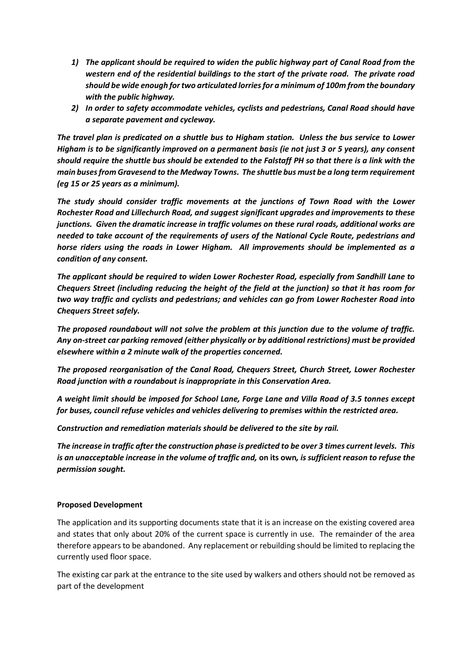- *1) The applicant should be required to widen the public highway part of Canal Road from the western end of the residential buildings to the start of the private road. The private road should be wide enough for two articulated lorries for a minimum of 100m from the boundary with the public highway.*
- *2) In order to safety accommodate vehicles, cyclists and pedestrians, Canal Road should have a separate pavement and cycleway.*

*The travel plan is predicated on a shuttle bus to Higham station. Unless the bus service to Lower Higham is to be significantly improved on a permanent basis (ie not just 3 or 5 years), any consent should require the shuttle bus should be extended to the Falstaff PH so that there is a link with the main buses from Gravesend to the Medway Towns. The shuttle bus must be a long term requirement (eg 15 or 25 years as a minimum).*

*The study should consider traffic movements at the junctions of Town Road with the Lower Rochester Road and Lillechurch Road, and suggest significant upgrades and improvements to these junctions. Given the dramatic increase in traffic volumes on these rural roads, additional works are needed to take account of the requirements of users of the National Cycle Route, pedestrians and horse riders using the roads in Lower Higham. All improvements should be implemented as a condition of any consent.*

*The applicant should be required to widen Lower Rochester Road, especially from Sandhill Lane to Chequers Street (including reducing the height of the field at the junction) so that it has room for two way traffic and cyclists and pedestrians; and vehicles can go from Lower Rochester Road into Chequers Street safely.* 

*The proposed roundabout will not solve the problem at this junction due to the volume of traffic. Any on-street car parking removed (either physically or by additional restrictions) must be provided elsewhere within a 2 minute walk of the properties concerned.*

*The proposed reorganisation of the Canal Road, Chequers Street, Church Street, Lower Rochester Road junction with a roundabout is inappropriate in this Conservation Area.*

*A weight limit should be imposed for School Lane, Forge Lane and Villa Road of 3.5 tonnes except for buses, council refuse vehicles and vehicles delivering to premises within the restricted area.*

*Construction and remediation materials should be delivered to the site by rail.*

*The increase in traffic after the construction phase is predicted to be over 3 times current levels. This is an unacceptable increase in the volume of traffic and,* **on its own***, is sufficient reason to refuse the permission sought.*

## **Proposed Development**

The application and its supporting documents state that it is an increase on the existing covered area and states that only about 20% of the current space is currently in use. The remainder of the area therefore appears to be abandoned. Any replacement or rebuilding should be limited to replacing the currently used floor space.

The existing car park at the entrance to the site used by walkers and others should not be removed as part of the development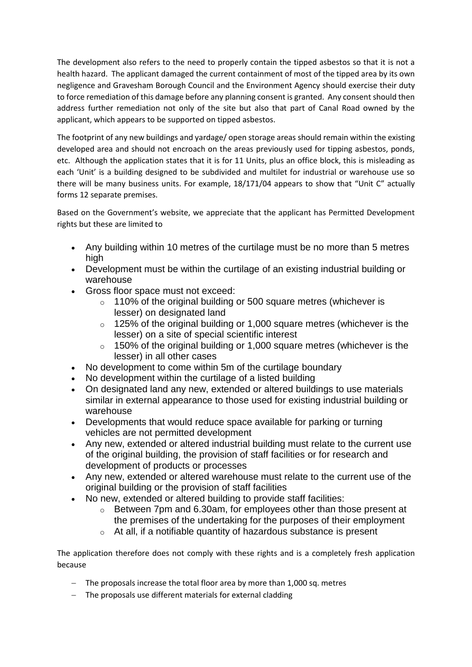The development also refers to the need to properly contain the tipped asbestos so that it is not a health hazard. The applicant damaged the current containment of most of the tipped area by its own negligence and Gravesham Borough Council and the Environment Agency should exercise their duty to force remediation of this damage before any planning consent is granted. Any consent should then address further remediation not only of the site but also that part of Canal Road owned by the applicant, which appears to be supported on tipped asbestos.

The footprint of any new buildings and yardage/ open storage areas should remain within the existing developed area and should not encroach on the areas previously used for tipping asbestos, ponds, etc. Although the application states that it is for 11 Units, plus an office block, this is misleading as each 'Unit' is a building designed to be subdivided and multilet for industrial or warehouse use so there will be many business units. For example, 18/171/04 appears to show that "Unit C" actually forms 12 separate premises.

Based on the Government's website, we appreciate that the applicant has Permitted Development rights but these are limited to

- Any building within 10 metres of the curtilage must be no more than 5 metres high
- Development must be within the curtilage of an existing industrial building or warehouse
- Gross floor space must not exceed:
	- o 110% of the original building or 500 square metres (whichever is lesser) on designated land
	- o 125% of the original building or 1,000 square metres (whichever is the lesser) on a site of special scientific interest
	- o 150% of the original building or 1,000 square metres (whichever is the lesser) in all other cases
- No development to come within 5m of the curtilage boundary
- No development within the curtilage of a listed building
- On designated land any new, extended or altered buildings to use materials similar in external appearance to those used for existing industrial building or warehouse
- Developments that would reduce space available for parking or turning vehicles are not permitted development
- Any new, extended or altered industrial building must relate to the current use of the original building, the provision of staff facilities or for research and development of products or processes
- Any new, extended or altered warehouse must relate to the current use of the original building or the provision of staff facilities
- No new, extended or altered building to provide staff facilities:
	- o Between 7pm and 6.30am, for employees other than those present at the premises of the undertaking for the purposes of their employment
	- $\circ$  At all, if a notifiable quantity of hazardous substance is present

The application therefore does not comply with these rights and is a completely fresh application because

- The proposals increase the total floor area by more than 1,000 sq. metres
- The proposals use different materials for external cladding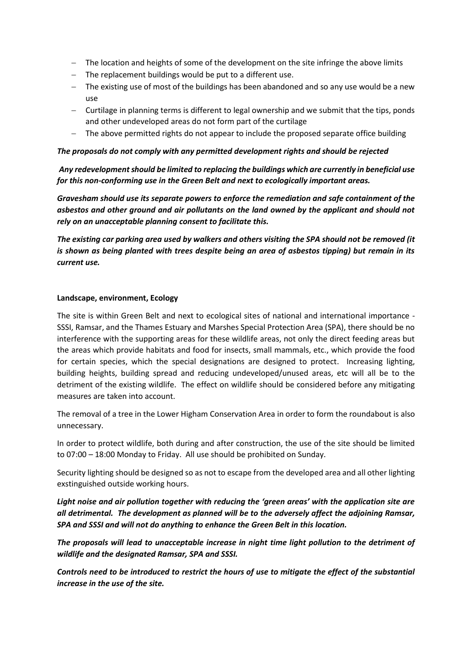- The location and heights of some of the development on the site infringe the above limits
- $-$  The replacement buildings would be put to a different use.
- $-$  The existing use of most of the buildings has been abandoned and so any use would be a new use
- Curtilage in planning terms is different to legal ownership and we submit that the tips, ponds and other undeveloped areas do not form part of the curtilage
- The above permitted rights do not appear to include the proposed separate office building

### *The proposals do not comply with any permitted development rights and should be rejected*

*Any redevelopment should be limited to replacing the buildings which are currently in beneficial use for this non-conforming use in the Green Belt and next to ecologically important areas.*

*Gravesham should use its separate powers to enforce the remediation and safe containment of the asbestos and other ground and air pollutants on the land owned by the applicant and should not rely on an unacceptable planning consent to facilitate this.*

*The existing car parking area used by walkers and others visiting the SPA should not be removed (it is shown as being planted with trees despite being an area of asbestos tipping) but remain in its current use.*

### **Landscape, environment, Ecology**

The site is within Green Belt and next to ecological sites of national and international importance - SSSI, Ramsar, and the Thames Estuary and Marshes Special Protection Area (SPA), there should be no interference with the supporting areas for these wildlife areas, not only the direct feeding areas but the areas which provide habitats and food for insects, small mammals, etc., which provide the food for certain species, which the special designations are designed to protect. Increasing lighting, building heights, building spread and reducing undeveloped/unused areas, etc will all be to the detriment of the existing wildlife. The effect on wildlife should be considered before any mitigating measures are taken into account.

The removal of a tree in the Lower Higham Conservation Area in order to form the roundabout is also unnecessary.

In order to protect wildlife, both during and after construction, the use of the site should be limited to 07:00 – 18:00 Monday to Friday. All use should be prohibited on Sunday.

Security lighting should be designed so as not to escape from the developed area and all other lighting exstinguished outside working hours.

*Light noise and air pollution together with reducing the 'green areas' with the application site are all detrimental. The development as planned will be to the adversely affect the adjoining Ramsar, SPA and SSSI and will not do anything to enhance the Green Belt in this location.* 

*The proposals will lead to unacceptable increase in night time light pollution to the detriment of wildlife and the designated Ramsar, SPA and SSSI.*

*Controls need to be introduced to restrict the hours of use to mitigate the effect of the substantial increase in the use of the site.*